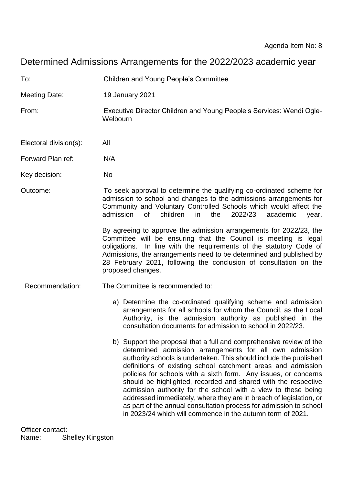# Determined Admissions Arrangements for the 2022/2023 academic year

| To:                    | <b>Children and Young People's Committee</b>                                                                                                                                                                                                                                                                                                                                                                                                                                                                                                                                                                                                                                                                                                                                                                                                                                                                                                                                            |
|------------------------|-----------------------------------------------------------------------------------------------------------------------------------------------------------------------------------------------------------------------------------------------------------------------------------------------------------------------------------------------------------------------------------------------------------------------------------------------------------------------------------------------------------------------------------------------------------------------------------------------------------------------------------------------------------------------------------------------------------------------------------------------------------------------------------------------------------------------------------------------------------------------------------------------------------------------------------------------------------------------------------------|
| Meeting Date:          | 19 January 2021                                                                                                                                                                                                                                                                                                                                                                                                                                                                                                                                                                                                                                                                                                                                                                                                                                                                                                                                                                         |
| From:                  | Executive Director Children and Young People's Services: Wendi Ogle-<br>Welbourn                                                                                                                                                                                                                                                                                                                                                                                                                                                                                                                                                                                                                                                                                                                                                                                                                                                                                                        |
| Electoral division(s): | All                                                                                                                                                                                                                                                                                                                                                                                                                                                                                                                                                                                                                                                                                                                                                                                                                                                                                                                                                                                     |
| Forward Plan ref:      | N/A                                                                                                                                                                                                                                                                                                                                                                                                                                                                                                                                                                                                                                                                                                                                                                                                                                                                                                                                                                                     |
| Key decision:          | <b>No</b>                                                                                                                                                                                                                                                                                                                                                                                                                                                                                                                                                                                                                                                                                                                                                                                                                                                                                                                                                                               |
| Outcome:               | To seek approval to determine the qualifying co-ordinated scheme for<br>admission to school and changes to the admissions arrangements for<br>Community and Voluntary Controlled Schools which would affect the<br>admission<br>children<br>2022/23<br>of l<br>in<br>the<br>academic<br>year.<br>By agreeing to approve the admission arrangements for 2022/23, the<br>Committee will be ensuring that the Council is meeting is legal<br>In line with the requirements of the statutory Code of<br>obligations.<br>Admissions, the arrangements need to be determined and published by<br>28 February 2021, following the conclusion of consultation on the<br>proposed changes.                                                                                                                                                                                                                                                                                                       |
| Recommendation:        | The Committee is recommended to:<br>a) Determine the co-ordinated qualifying scheme and admission<br>arrangements for all schools for whom the Council, as the Local<br>Authority, is the admission authority as published in the<br>consultation documents for admission to school in 2022/23.<br>b) Support the proposal that a full and comprehensive review of the<br>determined admission arrangements for all own admission<br>authority schools is undertaken. This should include the published<br>definitions of existing school catchment areas and admission<br>policies for schools with a sixth form. Any issues, or concerns<br>should be highlighted, recorded and shared with the respective<br>admission authority for the school with a view to these being<br>addressed immediately, where they are in breach of legislation, or<br>as part of the annual consultation process for admission to school<br>in 2023/24 which will commence in the autumn term of 2021. |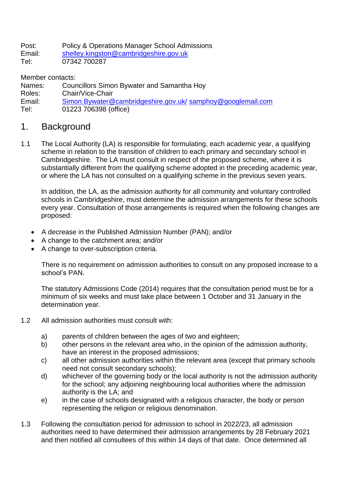Post: Policy & Operations Manager School Admissions Email: [shelley.kingston@cambridgeshire.gov.uk](mailto:shelley.kingston@cambridgeshire.gov.uk) Tel: 07342 700287

Member contacts:

Names: Councillors Simon Bywater and Samantha Hoy Roles: Chair/Vice-Chair Email: [Simon.Bywater@cambridgeshire.gov.uk/](mailto:Simon.Bywater@cambridgeshire.gov.uk/) [samphoy@googlemail.com](mailto:samphoy@googlemail.com) Tel: 01223 706398 (office)

## 1. Background

1.1 The Local Authority (LA) is responsible for formulating, each academic year, a qualifying scheme in relation to the transition of children to each primary and secondary school in Cambridgeshire. The LA must consult in respect of the proposed scheme, where it is substantially different from the qualifying scheme adopted in the preceding academic year, or where the LA has not consulted on a qualifying scheme in the previous seven years.

In addition, the LA, as the admission authority for all community and voluntary controlled schools in Cambridgeshire, must determine the admission arrangements for these schools every year. Consultation of those arrangements is required when the following changes are proposed:

- A decrease in the Published Admission Number (PAN); and/or
- A change to the catchment area; and/or
- A change to over-subscription criteria.

There is no requirement on admission authorities to consult on any proposed increase to a school's PAN.

The statutory Admissions Code (2014) requires that the consultation period must be for a minimum of six weeks and must take place between 1 October and 31 January in the determination year.

- 1.2 All admission authorities must consult with:
	- a) parents of children between the ages of two and eighteen;
	- b) other persons in the relevant area who, in the opinion of the admission authority, have an interest in the proposed admissions;
	- c) all other admission authorities within the relevant area (except that primary schools need not consult secondary schools);
	- d) whichever of the governing body or the local authority is not the admission authority for the school; any adjoining neighbouring local authorities where the admission authority is the LA; and
	- e) in the case of schools designated with a religious character, the body or person representing the religion or religious denomination.
- 1.3 Following the consultation period for admission to school in 2022/23, all admission authorities need to have determined their admission arrangements by 28 February 2021 and then notified all consultees of this within 14 days of that date. Once determined all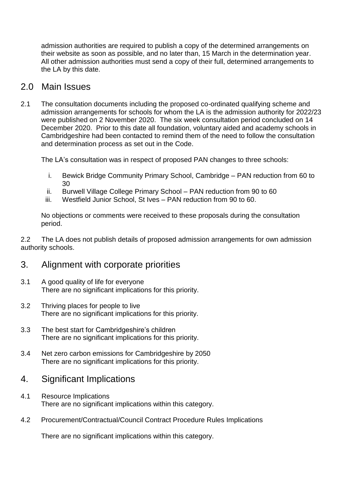admission authorities are required to publish a copy of the determined arrangements on their website as soon as possible, and no later than, 15 March in the determination year. All other admission authorities must send a copy of their full, determined arrangements to the LA by this date.

#### 2.0 Main Issues

2.1 The consultation documents including the proposed co-ordinated qualifying scheme and admission arrangements for schools for whom the LA is the admission authority for 2022/23 were published on 2 November 2020. The six week consultation period concluded on 14 December 2020. Prior to this date all foundation, voluntary aided and academy schools in Cambridgeshire had been contacted to remind them of the need to follow the consultation and determination process as set out in the Code.

The LA's consultation was in respect of proposed PAN changes to three schools:

- i. Bewick Bridge Community Primary School, Cambridge PAN reduction from 60 to 30
- ii. Burwell Village College Primary School PAN reduction from 90 to 60
- iii. Westfield Junior School, St Ives PAN reduction from 90 to 60.

No objections or comments were received to these proposals during the consultation period.

2.2 The LA does not publish details of proposed admission arrangements for own admission authority schools.

#### 3. Alignment with corporate priorities

- 3.1 A good quality of life for everyone There are no significant implications for this priority.
- 3.2 Thriving places for people to live There are no significant implications for this priority.
- 3.3 The best start for Cambridgeshire's children There are no significant implications for this priority.
- 3.4 Net zero carbon emissions for Cambridgeshire by 2050 There are no significant implications for this priority.

## 4. Significant Implications

- 4.1 Resource Implications There are no significant implications within this category.
- 4.2 Procurement/Contractual/Council Contract Procedure Rules Implications

There are no significant implications within this category.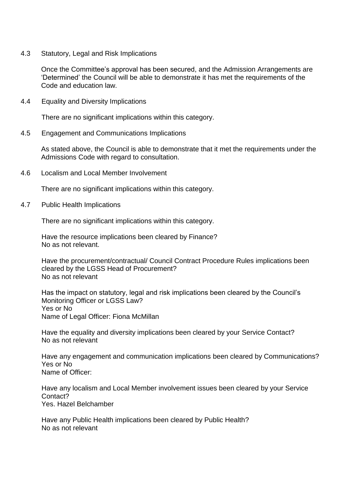4.3 Statutory, Legal and Risk Implications

Once the Committee's approval has been secured, and the Admission Arrangements are 'Determined' the Council will be able to demonstrate it has met the requirements of the Code and education law.

4.4 Equality and Diversity Implications

There are no significant implications within this category.

4.5 Engagement and Communications Implications

As stated above, the Council is able to demonstrate that it met the requirements under the Admissions Code with regard to consultation.

4.6 Localism and Local Member Involvement

There are no significant implications within this category.

4.7 Public Health Implications

There are no significant implications within this category.

Have the resource implications been cleared by Finance? No as not relevant.

Have the procurement/contractual/ Council Contract Procedure Rules implications been cleared by the LGSS Head of Procurement? No as not relevant

Has the impact on statutory, legal and risk implications been cleared by the Council's Monitoring Officer or LGSS Law? Yes or No Name of Legal Officer: Fiona McMillan

Have the equality and diversity implications been cleared by your Service Contact? No as not relevant

Have any engagement and communication implications been cleared by Communications? Yes or No Name of Officer:

Have any localism and Local Member involvement issues been cleared by your Service Contact? Yes. Hazel Belchamber

Have any Public Health implications been cleared by Public Health? No as not relevant